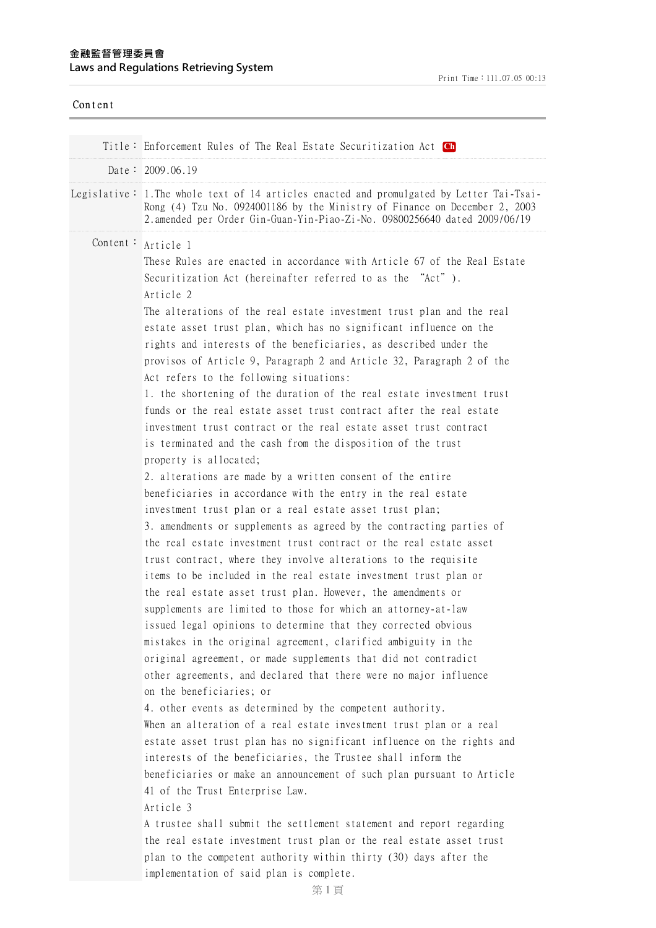| Content |                                                                                                                                                                                                                                                                                                                                                                                                                                                                                                                                                                                                                                                                                                                                                                                                                                                                                                                                                                                                                                                                                                                                                                                                                                                                                                                                                                                                                                                                                                                                                                                                                                                                                                                                                                                                                                                                                                                                                                                                                                                                                                                                                                                                                                                                                                                                                                                                                                    |
|---------|------------------------------------------------------------------------------------------------------------------------------------------------------------------------------------------------------------------------------------------------------------------------------------------------------------------------------------------------------------------------------------------------------------------------------------------------------------------------------------------------------------------------------------------------------------------------------------------------------------------------------------------------------------------------------------------------------------------------------------------------------------------------------------------------------------------------------------------------------------------------------------------------------------------------------------------------------------------------------------------------------------------------------------------------------------------------------------------------------------------------------------------------------------------------------------------------------------------------------------------------------------------------------------------------------------------------------------------------------------------------------------------------------------------------------------------------------------------------------------------------------------------------------------------------------------------------------------------------------------------------------------------------------------------------------------------------------------------------------------------------------------------------------------------------------------------------------------------------------------------------------------------------------------------------------------------------------------------------------------------------------------------------------------------------------------------------------------------------------------------------------------------------------------------------------------------------------------------------------------------------------------------------------------------------------------------------------------------------------------------------------------------------------------------------------------|
|         | Title: Enforcement Rules of The Real Estate Securitization Act Ch                                                                                                                                                                                                                                                                                                                                                                                                                                                                                                                                                                                                                                                                                                                                                                                                                                                                                                                                                                                                                                                                                                                                                                                                                                                                                                                                                                                                                                                                                                                                                                                                                                                                                                                                                                                                                                                                                                                                                                                                                                                                                                                                                                                                                                                                                                                                                                  |
|         | Date: $2009.06.19$                                                                                                                                                                                                                                                                                                                                                                                                                                                                                                                                                                                                                                                                                                                                                                                                                                                                                                                                                                                                                                                                                                                                                                                                                                                                                                                                                                                                                                                                                                                                                                                                                                                                                                                                                                                                                                                                                                                                                                                                                                                                                                                                                                                                                                                                                                                                                                                                                 |
|         | Legislative: 1. The whole text of 14 articles enacted and promulgated by Letter Tai-Tsai-<br>Rong (4) Tzu No. 0924001186 by the Ministry of Finance on December 2, 2003<br>2. amended per Order Gin-Guan-Yin-Piao-Zi-No. 09800256640 dated 2009/06/19                                                                                                                                                                                                                                                                                                                                                                                                                                                                                                                                                                                                                                                                                                                                                                                                                                                                                                                                                                                                                                                                                                                                                                                                                                                                                                                                                                                                                                                                                                                                                                                                                                                                                                                                                                                                                                                                                                                                                                                                                                                                                                                                                                              |
|         | Content: Article 1<br>These Rules are enacted in accordance with Article 67 of the Real Estate<br>Securitization Act (hereinafter referred to as the "Act").<br>Article 2<br>The alterations of the real estate investment trust plan and the real<br>estate asset trust plan, which has no significant influence on the<br>rights and interests of the beneficiaries, as described under the<br>provisos of Article 9, Paragraph 2 and Article 32, Paragraph 2 of the<br>Act refers to the following situations:<br>1. the shortening of the duration of the real estate investment trust<br>funds or the real estate asset trust contract after the real estate<br>investment trust contract or the real estate asset trust contract<br>is terminated and the cash from the disposition of the trust<br>property is allocated;<br>2. alterations are made by a written consent of the entire<br>beneficiaries in accordance with the entry in the real estate<br>investment trust plan or a real estate asset trust plan;<br>3. amendments or supplements as agreed by the contracting parties of<br>the real estate investment trust contract or the real estate asset<br>trust contract, where they involve alterations to the requisite<br>items to be included in the real estate investment trust plan or<br>the real estate asset trust plan. However, the amendments or<br>supplements are limited to those for which an attorney-at-law<br>issued legal opinions to determine that they corrected obvious<br>mistakes in the original agreement, clarified ambiguity in the<br>original agreement, or made supplements that did not contradict<br>other agreements, and declared that there were no major influence<br>on the beneficiaries; or<br>4. other events as determined by the competent authority.<br>When an alteration of a real estate investment trust plan or a real<br>estate asset trust plan has no significant influence on the rights and<br>interests of the beneficiaries, the Trustee shall inform the<br>beneficiaries or make an announcement of such plan pursuant to Article<br>41 of the Trust Enterprise Law.<br>Article 3<br>A trustee shall submit the settlement statement and report regarding<br>the real estate investment trust plan or the real estate asset trust<br>plan to the competent authority within thirty (30) days after the<br>implementation of said plan is complete. |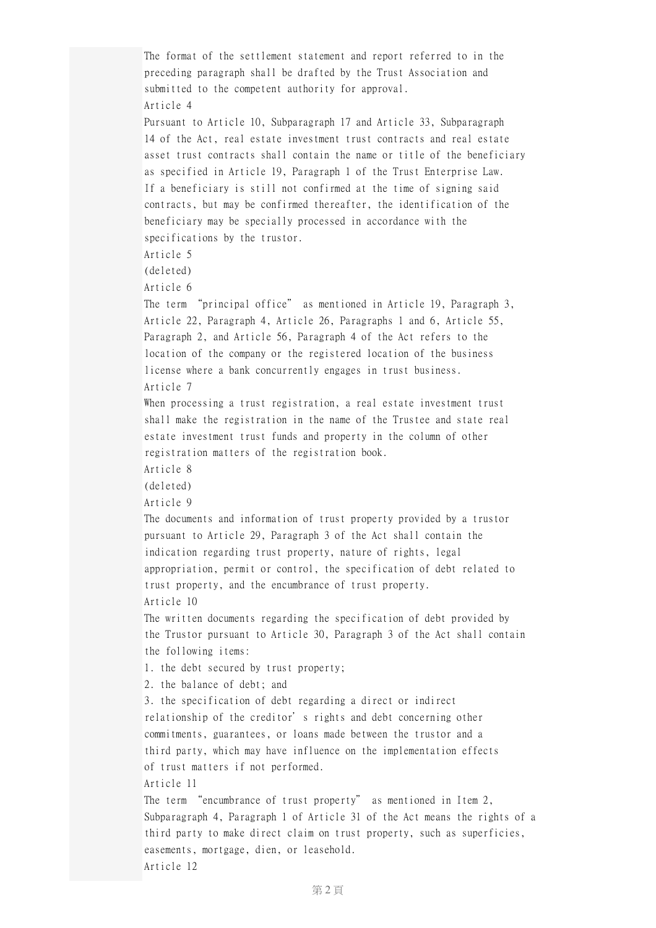The format of the settlement statement and report referred to in the preceding paragraph shall be drafted by the Trust Association and submitted to the competent authority for approval. Article 4 Pursuant to Article 10, Subparagraph 17 and Article 33, Subparagraph 14 of the Act, real estate investment trust contracts and real estate asset trust contracts shall contain the name or title of the beneficiary as specified in Article 19, Paragraph 1 of the Trust Enterprise Law. If a beneficiary is still not confirmed at the time of signing said contracts, but may be confirmed thereafter, the identification of the beneficiary may be specially processed in accordance with the specifications by the trustor. Article 5 (deleted) Article 6 The term "principal office" as mentioned in Article 19, Paragraph 3, Article 22, Paragraph 4, Article 26, Paragraphs 1 and 6, Article 55, Paragraph 2, and Article 56, Paragraph 4 of the Act refers to the location of the company or the registered location of the business license where a bank concurrently engages in trust business. Article 7 When processing a trust registration, a real estate investment trust shall make the registration in the name of the Trustee and state real estate investment trust funds and property in the column of other registration matters of the registration book. Article 8 (deleted) Article 9 The documents and information of trust property provided by a trustor pursuant to Article 29, Paragraph 3 of the Act shall contain the indication regarding trust property, nature of rights, legal appropriation, permit or control, the specification of debt related to trust property, and the encumbrance of trust property. Article 10 The written documents regarding the specification of debt provided by the Trustor pursuant to Article 30, Paragraph 3 of the Act shall contain the following items: 1. the debt secured by trust property; 2. the balance of debt; and 3. the specification of debt regarding a direct or indirect relationship of the creditor's rights and debt concerning other commitments, guarantees, or loans made between the trustor and a third party, which may have influence on the implementation effects of trust matters if not performed. Article 11 The term "encumbrance of trust property" as mentioned in Item 2, Subparagraph 4, Paragraph 1 of Article 31 of the Act means the rights of a third party to make direct claim on trust property, such as superficies, easements, mortgage, dien, or leasehold. Article 12